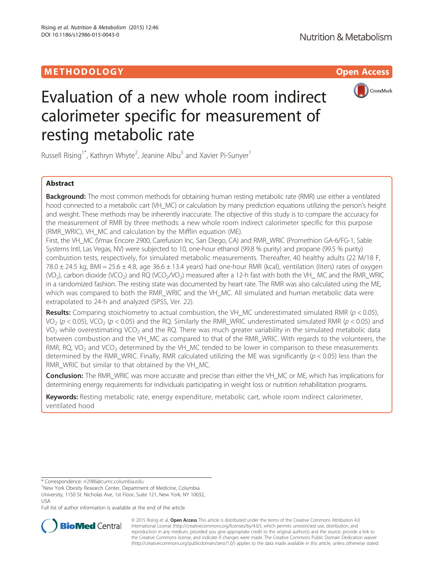# **METHODOLOGY CONSUMERS AND SERVICE CONSUMERS AND SERVICE CONSUMERS AND SERVICE CONSUMERS AND SERVICE CONSUMERS**



# Evaluation of a new whole room indirect calorimeter specific for measurement of resting metabolic rate

Russell Rising<sup>1\*</sup>, Kathryn Whyte<sup>2</sup>, Jeanine Albu<sup>3</sup> and Xavier Pi-Sunyer<sup>1</sup>

# Abstract

Background: The most common methods for obtaining human resting metabolic rate (RMR) use either a ventilated hood connected to a metabolic cart (VH\_MC) or calculation by many prediction equations utilizing the person's height and weight. These methods may be inherently inaccurate. The objective of this study is to compare the accuracy for the measurement of RMR by three methods: a new whole room indirect calorimeter specific for this purpose (RMR\_WRIC), VH\_MC and calculation by the Mifflin equation (ME).

First, the VH\_MC (Vmax Encore 2900, Carefusion Inc, San Diego, CA) and RMR\_WRIC (Promethion GA-6/FG-1, Sable Systems Intl, Las Vegas, NV) were subjected to 10, one-hour ethanol (99.8 % purity) and propane (99.5 % purity) combustion tests, respectively, for simulated metabolic measurements. Thereafter, 40 healthy adults (22 M/18 F,  $78.0 \pm 24.5$  kg, BMI =  $25.6 \pm 4.8$ , age  $36.6 \pm 13.4$  years) had one-hour RMR (kcal), ventilation (liters) rates of oxygen (VO<sub>2</sub>), carbon dioxide (VCO<sub>2</sub>) and RQ (VCO<sub>2</sub>/VO<sub>2</sub>) measured after a 12-h fast with both the VH\_ MC and the RMR\_WRIC in a randomized fashion. The resting state was documented by heart rate. The RMR was also calculated using the ME, which was compared to both the RMR\_WRIC and the VH\_MC. All simulated and human metabolic data were extrapolated to 24-h and analyzed (SPSS, Ver. 22).

**Results:** Comparing stoichiometry to actual combustion, the VH\_MC underestimated simulated RMR ( $p$  < 0.05), VO<sub>2</sub> (p < 0.05), VCO<sub>2</sub> (p < 0.05) and the RQ. Similarly the RMR\_WRIC underestimated simulated RMR (p < 0.05) and VO<sub>2</sub> while overestimating VCO<sub>2</sub> and the RQ. There was much greater variability in the simulated metabolic data between combustion and the VH\_MC as compared to that of the RMR\_WRIC. With regards to the volunteers, the RMR, RQ, VO<sub>2</sub> and VCO<sub>2</sub> determined by the VH\_MC tended to be lower in comparison to these measurements determined by the RMR\_WRIC. Finally, RMR calculated utilizing the ME was significantly ( $p < 0.05$ ) less than the RMR\_WRIC but similar to that obtained by the VH\_MC.

Conclusion: The RMR\_WRIC was more accurate and precise than either the VH\_MC or ME, which has implications for determining energy requirements for individuals participating in weight loss or nutrition rehabilitation programs.

Keywords: Resting metabolic rate, energy expenditure, metabolic cart, whole room indirect calorimeter, ventilated hood

\* Correspondence: [rr2986@cumc.columbia.edu](mailto:rr2986@cumc.columbia.edu) <sup>1</sup>

New York Obesity Research Center, Department of Medicine, Columbia University, 1150 St. Nicholas Ave, 1st Floor, Suite 121, New York, NY 10032, USA

Full list of author information is available at the end of the article



© 2015 Rising et al. Open Access This article is distributed under the terms of the Creative Commons Attribution 4.0 International License [\(http://creativecommons.org/licenses/by/4.0/](http://creativecommons.org/licenses/by/4.0/)), which permits unrestricted use, distribution, and reproduction in any medium, provided you give appropriate credit to the original author(s) and the source, provide a link to the Creative Commons license, and indicate if changes were made. The Creative Commons Public Domain Dedication waiver [\(http://creativecommons.org/publicdomain/zero/1.0/](http://creativecommons.org/publicdomain/zero/1.0/)) applies to the data made available in this article, unless otherwise stated.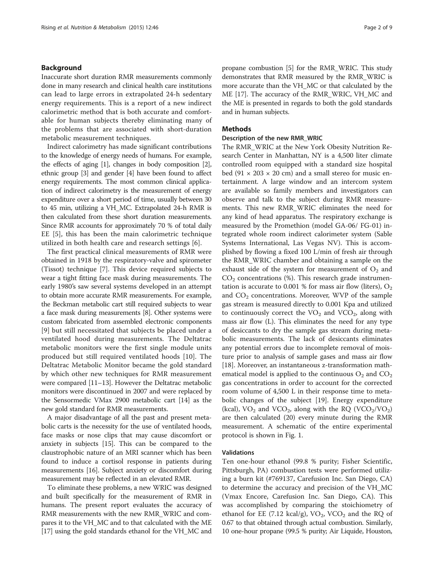## Background

Inaccurate short duration RMR measurements commonly done in many research and clinical health care institutions can lead to large errors in extrapolated 24-h sedentary energy requirements. This is a report of a new indirect calorimetric method that is both accurate and comfortable for human subjects thereby eliminating many of the problems that are associated with short-duration metabolic measurement techniques.

Indirect calorimetry has made significant contributions to the knowledge of energy needs of humans. For example, the effects of aging [\[1](#page-8-0)], changes in body composition [[2](#page-8-0)], ethnic group [\[3\]](#page-8-0) and gender [[4](#page-8-0)] have been found to affect energy requirements. The most common clinical application of indirect calorimetry is the measurement of energy expenditure over a short period of time, usually between 30 to 45 min, utilizing a VH\_MC. Extrapolated 24-h RMR is then calculated from these short duration measurements. Since RMR accounts for approximately 70 % of total daily EE [[5\]](#page-8-0), this has been the main calorimetric technique utilized in both health care and research settings [[6\]](#page-8-0).

The first practical clinical measurements of RMR were obtained in 1918 by the respiratory-valve and spirometer (Tissot) technique [\[7\]](#page-8-0). This device required subjects to wear a tight fitting face mask during measurements. The early 1980's saw several systems developed in an attempt to obtain more accurate RMR measurements. For example, the Beckman metabolic cart still required subjects to wear a face mask during measurements [\[8\]](#page-8-0). Other systems were custom fabricated from assembled electronic components [[9\]](#page-8-0) but still necessitated that subjects be placed under a ventilated hood during measurements. The Deltatrac metabolic monitors were the first single module units produced but still required ventilated hoods [\[10\]](#page-8-0). The Deltatrac Metabolic Monitor became the gold standard by which other new techniques for RMR measurement were compared [\[11](#page-8-0)–[13\]](#page-8-0). However the Deltatrac metabolic monitors were discontinued in 2007 and were replaced by the Sensormedic VMax 2900 metabolic cart [\[14\]](#page-8-0) as the new gold standard for RMR measurements.

A major disadvantage of all the past and present metabolic carts is the necessity for the use of ventilated hoods, face masks or nose clips that may cause discomfort or anxiety in subjects [\[15\]](#page-8-0). This can be compared to the claustrophobic nature of an MRI scanner which has been found to induce a cortisol response in patients during measurements [[16](#page-8-0)]. Subject anxiety or discomfort during measurement may be reflected in an elevated RMR.

To eliminate these problems, a new WRIC was designed and built specifically for the measurement of RMR in humans. The present report evaluates the accuracy of RMR measurements with the new RMR\_WRIC and compares it to the VH\_MC and to that calculated with the ME [[17](#page-8-0)] using the gold standards ethanol for the VH\_MC and

propane combustion [\[5](#page-8-0)] for the RMR\_WRIC. This study demonstrates that RMR measured by the RMR\_WRIC is more accurate than the VH\_MC or that calculated by the ME [[17](#page-8-0)]. The accuracy of the RMR\_WRIC, VH\_MC and the ME is presented in regards to both the gold standards and in human subjects.

## **Methods**

#### Description of the new RMR\_WRIC

The RMR\_WRIC at the New York Obesity Nutrition Research Center in Manhattan, NY is a 4,500 liter climate controlled room equipped with a standard size hospital bed (91  $\times$  203  $\times$  20 cm) and a small stereo for music entertainment. A large window and an intercom system are available so family members and investigators can observe and talk to the subject during RMR measurements. This new RMR\_WRIC eliminates the need for any kind of head apparatus. The respiratory exchange is measured by the Promethion (model GA-06/ FG-01) integrated whole room indirect calorimeter system (Sable Systems International, Las Vegas NV). This is accomplished by flowing a fixed 100 L/min of fresh air through the RMR\_WRIC chamber and obtaining a sample on the exhaust side of the system for measurement of  $O<sub>2</sub>$  and  $CO<sub>2</sub>$  concentrations (%). This research grade instrumentation is accurate to 0.001 % for mass air flow (liters),  $O_2$ and  $CO<sub>2</sub>$  concentrations. Moreover, WVP of the sample gas stream is measured directly to 0.001 Kpa and utilized to continuously correct the  $VO<sub>2</sub>$  and  $VCO<sub>2</sub>$ , along with mass air flow (L). This eliminates the need for any type of desiccants to dry the sample gas stream during metabolic measurements. The lack of desiccants eliminates any potential errors due to incomplete removal of moisture prior to analysis of sample gases and mass air flow [[18\]](#page-8-0). Moreover, an instantaneous z-transformation mathematical model is applied to the continuous  $O_2$  and  $CO_2$ gas concentrations in order to account for the corrected room volume of 4,500 L in their response time to metabolic changes of the subject [\[19\]](#page-8-0). Energy expenditure (kcal),  $VO_2$  and  $VCO_2$ , along with the RQ ( $VCO_2/VO_2$ ) are then calculated (20) every minute during the RMR measurement. A schematic of the entire experimental protocol is shown in Fig. [1.](#page-2-0)

## Validations

Ten one-hour ethanol (99.8 % purity; Fisher Scientific, Pittsburgh, PA) combustion tests were performed utilizing a burn kit (#769137, Carefusion Inc. San Diego, CA) to determine the accuracy and precision of the VH\_MC (Vmax Encore, Carefusion Inc. San Diego, CA). This was accomplished by comparing the stoichiometry of ethanol for EE (7.12 kcal/g),  $VO_2$ ,  $VCO_2$  and the RQ of 0.67 to that obtained through actual combustion. Similarly, 10 one-hour propane (99.5 % purity; Air Liquide, Houston,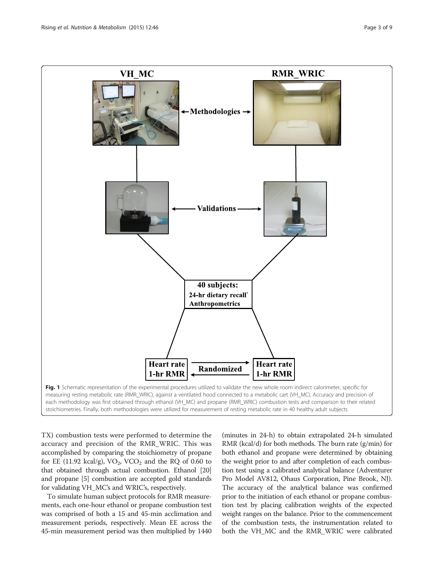<span id="page-2-0"></span>

TX) combustion tests were performed to determine the accuracy and precision of the RMR\_WRIC. This was accomplished by comparing the stoichiometry of propane for EE (11.92 kcal/g),  $VO<sub>2</sub>$ , VCO<sub>2</sub> and the RQ of 0.60 to that obtained through actual combustion. Ethanol [[20](#page-8-0)] and propane [[5](#page-8-0)] combustion are accepted gold standards for validating VH\_MC's and WRIC's, respectively.

To simulate human subject protocols for RMR measurements, each one-hour ethanol or propane combustion test was comprised of both a 15 and 45-min acclimation and measurement periods, respectively. Mean EE across the 45-min measurement period was then multiplied by 1440 (minutes in 24-h) to obtain extrapolated 24-h simulated RMR (kcal/d) for both methods. The burn rate (g/min) for both ethanol and propane were determined by obtaining the weight prior to and after completion of each combustion test using a calibrated analytical balance (Adventurer Pro Model AV812, Ohaus Corporation, Pine Brook, NJ). The accuracy of the analytical balance was confirmed prior to the initiation of each ethanol or propane combustion test by placing calibration weights of the expected weight ranges on the balance. Prior to the commencement of the combustion tests, the instrumentation related to both the VH\_MC and the RMR\_WRIC were calibrated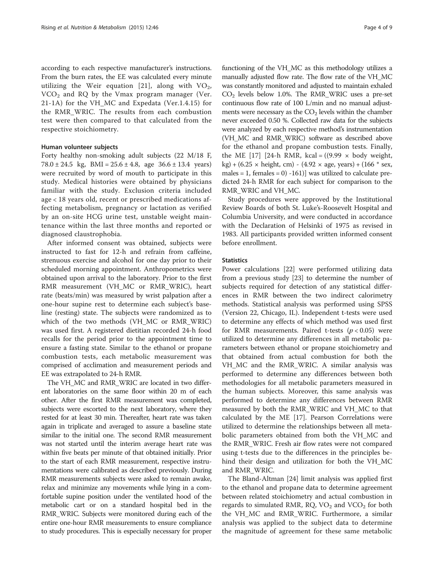according to each respective manufacturer's instructions. From the burn rates, the EE was calculated every minute utilizing the Weir equation [[21](#page-8-0)], along with  $VO<sub>2</sub>$ ,  $VCO<sub>2</sub>$  and RQ by the Vmax program manager (Ver. 21-1A) for the VH\_MC and Expedata (Ver.1.4.15) for the RMR\_WRIC. The results from each combustion test were then compared to that calculated from the respective stoichiometry.

### Human volunteer subjects

Forty healthy non-smoking adult subjects (22 M/18 F, 78.0  $\pm$  24.5 kg, BMI = 25.6  $\pm$  4.8, age 36.6  $\pm$  13.4 years) were recruited by word of mouth to participate in this study. Medical histories were obtained by physicians familiar with the study. Exclusion criteria included age < 18 years old, recent or prescribed medications affecting metabolism, pregnancy or lactation as verified by an on-site HCG urine test, unstable weight maintenance within the last three months and reported or diagnosed claustrophobia.

After informed consent was obtained, subjects were instructed to fast for 12-h and refrain from caffeine, strenuous exercise and alcohol for one day prior to their scheduled morning appointment. Anthropometrics were obtained upon arrival to the laboratory. Prior to the first RMR measurement (VH\_MC or RMR\_WRIC), heart rate (beats/min) was measured by wrist palpation after a one-hour supine rest to determine each subject's baseline (resting) state. The subjects were randomized as to which of the two methods (VH MC or RMR WRIC) was used first. A registered dietitian recorded 24-h food recalls for the period prior to the appointment time to ensure a fasting state. Similar to the ethanol or propane combustion tests, each metabolic measurement was comprised of acclimation and measurement periods and EE was extrapolated to 24-h RMR.

The VH\_MC and RMR\_WRIC are located in two different laboratories on the same floor within 20 m of each other. After the first RMR measurement was completed, subjects were escorted to the next laboratory, where they rested for at least 30 min. Thereafter, heart rate was taken again in triplicate and averaged to assure a baseline state similar to the initial one. The second RMR measurement was not started until the interim average heart rate was within five beats per minute of that obtained initially. Prior to the start of each RMR measurement, respective instrumentations were calibrated as described previously. During RMR measurements subjects were asked to remain awake, relax and minimize any movements while lying in a comfortable supine position under the ventilated hood of the metabolic cart or on a standard hospital bed in the RMR\_WRIC. Subjects were monitored during each of the entire one-hour RMR measurements to ensure compliance to study procedures. This is especially necessary for proper

functioning of the VH\_MC as this methodology utilizes a manually adjusted flow rate. The flow rate of the VH\_MC was constantly monitored and adjusted to maintain exhaled  $CO<sub>2</sub>$  levels below 1.0%. The RMR\_WRIC uses a pre-set continuous flow rate of 100 L/min and no manual adjustments were necessary as the  $CO<sub>2</sub>$  levels within the chamber never exceeded 0.50 %. Collected raw data for the subjects were analyzed by each respective method's instrumentation (VH\_MC and RMR\_WRIC) software as described above for the ethanol and propane combustion tests. Finally, the ME [\[17](#page-8-0)] [24-h RMR, kcal =  $((9.99 \times$  body weight,  $kg$ ) + (6.25  $\times$  height, cm) - (4.92  $\times$  age, years) + (166  $*$  sex, males = 1, females =  $0$ ) -161)] was utilized to calculate predicted 24-h RMR for each subject for comparison to the RMR\_WRIC and VH\_MC.

Study procedures were approved by the Institutional Review Boards of both St. Luke's-Roosevelt Hospital and Columbia University, and were conducted in accordance with the Declaration of Helsinki of 1975 as revised in 1983. All participants provided written informed consent before enrollment.

#### **Statistics**

Power calculations [\[22\]](#page-8-0) were performed utilizing data from a previous study [[23\]](#page-8-0) to determine the number of subjects required for detection of any statistical differences in RMR between the two indirect calorimetry methods. Statistical analysis was performed using SPSS (Version 22, Chicago, IL). Independent t-tests were used to determine any effects of which method was used first for RMR measurements. Paired t-tests  $(p < 0.05)$  were utilized to determine any differences in all metabolic parameters between ethanol or propane stoichiometry and that obtained from actual combustion for both the VH\_MC and the RMR\_WRIC. A similar analysis was performed to determine any differences between both methodologies for all metabolic parameters measured in the human subjects. Moreover, this same analysis was performed to determine any differences between RMR measured by both the RMR\_WRIC and VH\_MC to that calculated by the ME [\[17\]](#page-8-0). Pearson Correlations were utilized to determine the relationships between all metabolic parameters obtained from both the VH\_MC and the RMR\_WRIC. Fresh air flow rates were not compared using t-tests due to the differences in the principles behind their design and utilization for both the VH\_MC and RMR\_WRIC.

The Bland-Altman [[24\]](#page-8-0) limit analysis was applied first to the ethanol and propane data to determine agreement between related stoichiometry and actual combustion in regards to simulated RMR,  $RQ$ ,  $VO<sub>2</sub>$  and  $VCO<sub>2</sub>$  for both the VH\_MC and RMR\_WRIC. Furthermore, a similar analysis was applied to the subject data to determine the magnitude of agreement for these same metabolic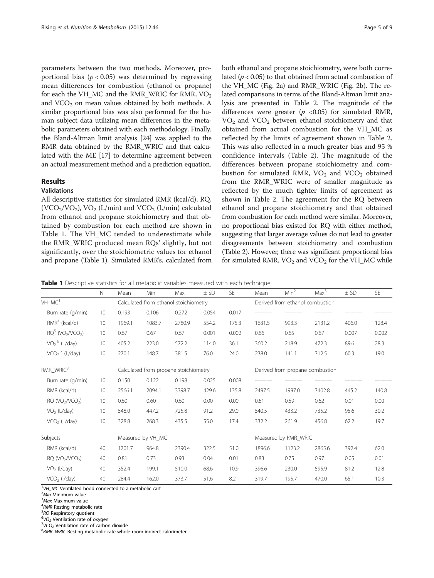parameters between the two methods. Moreover, proportional bias ( $p < 0.05$ ) was determined by regressing mean differences for combustion (ethanol or propane) for each the VH\_MC and the RMR\_WRIC for RMR,  $\rm VO_2$ and  $VCO<sub>2</sub>$  on mean values obtained by both methods. A similar proportional bias was also performed for the human subject data utilizing mean differences in the metabolic parameters obtained with each methodology. Finally, the Bland-Altman limit analysis [[24](#page-8-0)] was applied to the RMR data obtained by the RMR\_WRIC and that calculated with the ME [[17\]](#page-8-0) to determine agreement between an actual measurement method and a prediction equation.

## Results

## Validations

All descriptive statistics for simulated RMR (kcal/d), RQ, (VCO<sub>2</sub>/VO<sub>2</sub>), VO<sub>2</sub> (L/min) and VCO<sub>2</sub> (L/min) calculated from ethanol and propane stoichiometry and that obtained by combustion for each method are shown in Table 1. The VH\_MC tended to underestimate while the RMR\_WRIC produced mean RQs' slightly, but not significantly, over the stoichiometric values for ethanol and propane (Table 1). Simulated RMR's, calculated from

both ethanol and propane stoichiometry, were both correlated ( $p < 0.05$ ) to that obtained from actual combustion of the VH\_MC (Fig. [2a](#page-5-0)) and RMR\_WRIC (Fig. [2b\)](#page-5-0). The related comparisons in terms of the Bland-Altman limit analysis are presented in Table [2](#page-6-0). The magnitude of the differences were greater ( $p \le 0.05$ ) for simulated RMR,  $VO<sub>2</sub>$  and  $VCO<sub>2</sub>$  between ethanol stoichiometry and that obtained from actual combustion for the VH\_MC as reflected by the limits of agreement shown in Table [2](#page-6-0). This was also reflected in a much greater bias and 95 % confidence intervals (Table [2](#page-6-0)). The magnitude of the differences between propane stoichiometry and combustion for simulated RMR,  $VO<sub>2</sub>$  and  $VCO<sub>2</sub>$  obtained from the RMR\_WRIC were of smaller magnitude as reflected by the much tighter limits of agreement as shown in Table [2](#page-6-0). The agreement for the RQ between ethanol and propane stoichiometry and that obtained from combustion for each method were similar. Moreover, no proportional bias existed for RQ with either method, suggesting that larger average values do not lead to greater disagreements between stoichiometry and combustion (Table [2](#page-6-0)). However, there was significant proportional bias for simulated RMR,  $VO<sub>2</sub>$  and  $VCO<sub>2</sub>$  for the VH\_MC while

**Table 1** Descriptive statistics for all metabolic variables measured with each technique

|                                            | N  | Mean   | Min                                   | Max    | $±$ SD | SE    | Mean   | Min <sup>2</sup>                | Max <sup>3</sup> | $±$ SD | <b>SE</b> |  |
|--------------------------------------------|----|--------|---------------------------------------|--------|--------|-------|--------|---------------------------------|------------------|--------|-----------|--|
| VH_MC <sup>1</sup>                         |    |        | Calculated from ethanol stoichiometry |        |        |       |        | Derived from ethanol combustion |                  |        |           |  |
| Burn rate (q/min)                          | 10 | 0.193  | 0.106                                 | 0.272  | 0.054  | 0.017 |        |                                 |                  |        |           |  |
| $RMR4$ (kcal/d)                            | 10 | 1969.1 | 1083.7                                | 2780.9 | 554.2  | 175.3 | 1631.5 | 993.3                           | 2131.2           | 406.0  | 128.4     |  |
| $RQ5$ (VO <sub>2</sub> /VCO <sub>2</sub> ) | 10 | 0.67   | 0.67                                  | 0.67   | 0.001  | 0.002 | 0.66   | 0.65                            | 0.67             | 0.007  | 0.002     |  |
| $VO2$ <sup>6</sup> (L/day)                 | 10 | 405.2  | 223.0                                 | 572.2  | 114.0  | 36.1  | 360.2  | 218.9                           | 472.3            | 89.6   | 28.3      |  |
| $VCO27$ (L/day)                            | 10 | 270.1  | 148.7                                 | 381.5  | 76.0   | 24.0  | 238.0  | 141.1                           | 312.5            | 60.3   | 19.0      |  |
| RMR_WRIC <sup>8</sup>                      |    |        | Calculated from propane stoichiometry |        |        |       |        | Derived from propane combustion |                  |        |           |  |
| Burn rate (q/min)                          | 10 | 0.150  | 0.122                                 | 0.198  | 0.025  | 0.008 |        |                                 |                  |        |           |  |
| RMR (kcal/d)                               | 10 | 2566.1 | 2094.1                                | 3398.7 | 429.6  | 135.8 | 2497.5 | 1997.0                          | 3402.8           | 445.2  | 140.8     |  |
| RQ (VO <sub>2</sub> /VCO <sub>2</sub> )    | 10 | 0.60   | 0.60                                  | 0.60   | 0.00   | 0.00  | 0.61   | 0.59                            | 0.62             | 0.01   | 0.00      |  |
| VO <sub>2</sub> (L/day)                    | 10 | 548.0  | 447.2                                 | 725.8  | 91.2   | 29.0  | 540.5  | 433.2                           | 735.2            | 95.6   | 30.2      |  |
| VCO <sub>2</sub> (L/day)                   | 10 | 328.8  | 268.3                                 | 435.5  | 55.0   | 17.4  | 332.2  | 261.9                           | 456.8            | 62.2   | 19.7      |  |
| Subjects                                   |    |        | Measured by VH_MC                     |        |        |       |        | Measured by RMR_WRIC            |                  |        |           |  |
| RMR (kcal/d)                               | 40 | 1701.7 | 964.8                                 | 2390.4 | 322.5  | 51.0  | 1896.6 | 1123.2                          | 2865.6           | 392.4  | 62.0      |  |
| RQ (VO <sub>2</sub> /VCO <sub>2</sub> )    | 40 | 0.81   | 0.73                                  | 0.93   | 0.04   | 0.01  | 0.83   | 0.75                            | 0.97             | 0.05   | 0.01      |  |
| $VO2$ (I/day)                              | 40 | 352.4  | 199.1                                 | 510.0  | 68.6   | 10.9  | 396.6  | 230.0                           | 595.9            | 81.2   | 12.8      |  |
| $VCO2$ (I/day)                             | 40 | 284.4  | 162.0                                 | 373.7  | 51.6   | 8.2   | 319.7  | 195.7                           | 470.0            | 65.1   | 10.3      |  |

 $1$ VH\_MC Ventilated hood connected to a metabolic cart<br> $2$ Min Minimum value

<sup>4</sup>RMR Resting metabolic rate<br><sup>5</sup> PO Bespiratory quotient

<sup>5</sup>RQ Respiratory quotient  $^{6}VO_{2}$  Ventilation rate of oxygen

 $VCO<sub>2</sub>$  Ventilation rate of carbon dioxide

<sup>8</sup>RMR\_WRIC Resting metabolic rate whole room indirect calorimeter

 $\frac{2}{3}$ Min Minimum value<br> $\frac{3}{3}$ Max Maximum value

<sup>&</sup>lt;sup>3</sup>Max Maximum value<br><sup>4</sup>PMP Bosting metabo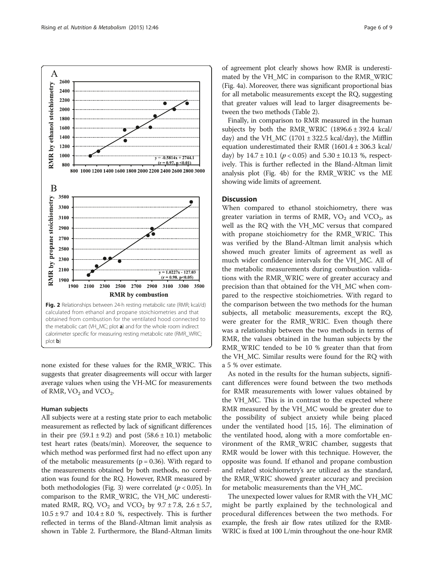<span id="page-5-0"></span>

none existed for these values for the RMR\_WRIC. This suggests that greater disagreements will occur with larger average values when using the VH-MC for measurements of RMR,  $VO<sub>2</sub>$  and  $VCO<sub>2</sub>$ .

## Human subjects

All subjects were at a resting state prior to each metabolic measurement as reflected by lack of significant differences in their pre  $(59.1 \pm 9.2)$  and post  $(58.6 \pm 10.1)$  metabolic test heart rates (beats/min). Moreover, the sequence to which method was performed first had no effect upon any of the metabolic measurements ( $p = 0.36$ ). With regard to the measurements obtained by both methods, no correlation was found for the RQ. However, RMR measured by both methodologies (Fig. [3](#page-6-0)) were correlated ( $p < 0.05$ ). In comparison to the RMR\_WRIC, the VH\_MC underestimated RMR, RQ,  $VO_2$  and  $VCO_2$  by  $9.7 \pm 7.8$ ,  $2.6 \pm 5.7$ ,  $10.5 \pm 9.7$  and  $10.4 \pm 8.0$  %, respectively. This is further reflected in terms of the Bland-Altman limit analysis as shown in Table [2.](#page-6-0) Furthermore, the Bland-Altman limits

of agreement plot clearly shows how RMR is underestimated by the VH\_MC in comparison to the RMR\_WRIC (Fig. [4a\)](#page-7-0). Moreover, there was significant proportional bias for all metabolic measurements except the RQ, suggesting that greater values will lead to larger disagreements between the two methods (Table [2](#page-6-0)).

Finally, in comparison to RMR measured in the human subjects by both the RMR\_WRIC  $(1896.6 \pm 392.4 \text{ kcal})$ day) and the VH\_MC (1701  $\pm$  322.5 kcal/day), the Mifflin equation underestimated their RMR (1601.4 ± 306.3 kcal/ day) by  $14.7 \pm 10.1$  ( $p < 0.05$ ) and  $5.30 \pm 10.13$  %, respectively. This is further reflected in the Bland-Altman limit analysis plot (Fig. [4b\)](#page-7-0) for the RMR\_WRIC vs the ME showing wide limits of agreement.

## **Discussion**

When compared to ethanol stoichiometry, there was greater variation in terms of RMR,  $VO<sub>2</sub>$  and  $VCO<sub>2</sub>$ , as well as the RQ with the VH\_MC versus that compared with propane stoichiometry for the RMR\_WRIC. This was verified by the Bland-Altman limit analysis which showed much greater limits of agreement as well as much wider confidence intervals for the VH\_MC. All of the metabolic measurements during combustion validations with the RMR\_WRIC were of greater accuracy and precision than that obtained for the VH\_MC when compared to the respective stoichiometries. With regard to the comparison between the two methods for the human subjects, all metabolic measurements, except the RQ, were greater for the RMR WRIC. Even though there was a relationship between the two methods in terms of RMR, the values obtained in the human subjects by the RMR\_WRIC tended to be 10 % greater than that from the VH\_MC. Similar results were found for the RQ with a 5 % over estimate.

As noted in the results for the human subjects, significant differences were found between the two methods for RMR measurements with lower values obtained by the VH\_MC. This is in contrast to the expected where RMR measured by the VH\_MC would be greater due to the possibility of subject anxiety while being placed under the ventilated hood [\[15](#page-8-0), [16](#page-8-0)]. The elimination of the ventilated hood, along with a more comfortable environment of the RMR\_WRIC chamber, suggests that RMR would be lower with this technique. However, the opposite was found. If ethanol and propane combustion and related stoichiometry's are utilized as the standard, the RMR\_WRIC showed greater accuracy and precision for metabolic measurements than the VH\_MC.

The unexpected lower values for RMR with the VH\_MC might be partly explained by the technological and procedural differences between the two methods. For example, the fresh air flow rates utilized for the RMR-WRIC is fixed at 100 L/min throughout the one-hour RMR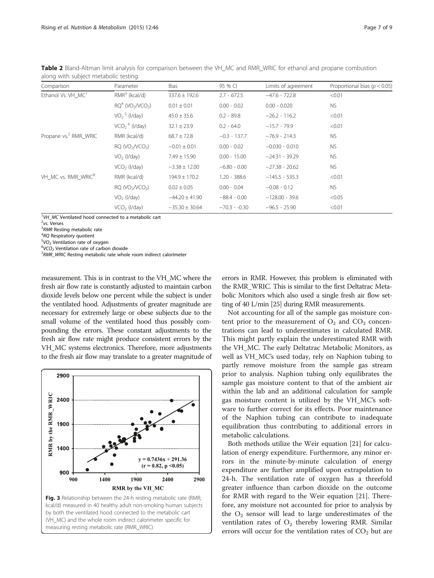| Comparison                        | Parameter                                  | Bias               | 95 % CI        | Limits of agreement | Proportional bias ( $p < 0.05$ ) |  |
|-----------------------------------|--------------------------------------------|--------------------|----------------|---------------------|----------------------------------|--|
| Ethanol Vs. VH MC <sup>1</sup>    | $RMR3$ (kcal/d)                            | $337.6 \pm 192.6$  | $2.7 - 672.5$  | $-47.6 - 722.8$     | < 0.01                           |  |
|                                   | $RQ4$ (VO <sub>2</sub> /VCO <sub>2</sub> ) | $0.01 \pm 0.01$    | $0.00 - 0.02$  | $0.00 - 0.020$      | <b>NS</b>                        |  |
|                                   | $VO25$ (I/day)                             | $45.0 \pm 35.6$    | $0.2 - 89.8$   | $-26.2 - 116.2$     | < 0.01                           |  |
|                                   | $VCO2$ <sup>6</sup> (l/day)                | $32.1 \pm 23.9$    | $0.2 - 64.0$   | $-15.7 - 79.9$      | < 0.01                           |  |
| Propane vs. <sup>2</sup> RMR WRIC | RMR (kcal/d)                               | $68.7 \pm 72.8$    | $-0.3 - 137.7$ | $-76.9 - 214.3$     | NS.                              |  |
|                                   | RQ (VO <sub>2</sub> /VCO <sub>2</sub> )    | $-0.01 \pm 0.01$   | $0.00 - 0.02$  | $-0.030 - 0.010$    | NS.                              |  |
|                                   | $VO2$ (I/day)                              | $7.49 \pm 15.90$   | $0.00 - 15.00$ | $-24.31 - 39.29$    | <b>NS</b>                        |  |
|                                   | $VCO2$ (I/day)                             | $-3.38 \pm 12.00$  | $-6.80 - 0.00$ | $-27.38 - 20.62$    | <b>NS</b>                        |  |
| VH_MC vs. RMR_WRIC <sup>8</sup>   | RMR (kcal/d)                               | $194.9 \pm 170.2$  | $1.20 - 388.6$ | $-145.5 - 535.3$    | < 0.01                           |  |
|                                   | RQ (VO <sub>2</sub> /VCO <sub>2</sub> )    | $0.02 \pm 0.05$    | $0.00 - 0.04$  | $-0.08 - 0.12$      | <b>NS</b>                        |  |
|                                   | $VO2$ (I/day)                              | $-44.20 \pm 41.90$ | $-88.4 - 0.00$ | $-128.00 - 39.6$    | < 0.05                           |  |
|                                   | $VCO2$ (I/day)                             | $-35.30 \pm 30.64$ | $-70.3 - 0.30$ | $-96.5 - 25.90$     | < 0.01                           |  |

<span id="page-6-0"></span>Table 2 Bland-Altman limit analysis for comparison between the VH\_MC and RMR\_WRIC for ethanol and propane combustion along with subject metabolic testing

 $1$ VH\_MC Ventilated hood connected to a metabolic cart<br><sup>2</sup>ve Verses

 $2$ <sub>vs</sub>. Verses

 $3$ RMR Resting metabolic rate

 ${}^{4}$ RQ Respiratory quotient

 $5VO<sub>2</sub>$  Ventilation rate of oxygen

 $6$ VCO<sub>2</sub> Ventilation rate of carbon dioxide

 $7$ RMR\_WRIC Resting metabolic rate whole room indirect calorimeter

measurement. This is in contrast to the VH\_MC where the fresh air flow rate is constantly adjusted to maintain carbon dioxide levels below one percent while the subject is under the ventilated hood. Adjustments of greater magnitude are necessary for extremely large or obese subjects due to the small volume of the ventilated hood thus possibly compounding the errors. These constant adjustments to the fresh air flow rate might produce consistent errors by the VH\_MC systems electronics. Therefore, more adjustments to the fresh air flow may translate to a greater magnitude of



errors in RMR. However, this problem is eliminated with the RMR\_WRIC. This is similar to the first Deltatrac Metabolic Monitors which also used a single fresh air flow setting of 40 L/min [[25](#page-8-0)] during RMR measurements.

Not accounting for all of the sample gas moisture content prior to the measurement of  $O_2$  and  $CO_2$  concentrations can lead to underestimates in calculated RMR. This might partly explain the underestimated RMR with the VH\_MC. The early Deltatrac Metabolic Monitors, as well as VH\_MC's used today, rely on Naphion tubing to partly remove moisture from the sample gas stream prior to analysis. Naphion tubing only equilibrates the sample gas moisture content to that of the ambient air within the lab and an additional calculation for sample gas moisture content is utilized by the VH\_MC's software to further correct for its effects. Poor maintenance of the Naphion tubing can contribute to inadequate equilibration thus contributing to additional errors in metabolic calculations.

Both methods utilize the Weir equation [\[21\]](#page-8-0) for calculation of energy expenditure. Furthermore, any minor errors in the minute-by-minute calculation of energy expenditure are further amplified upon extrapolation to 24-h. The ventilation rate of oxygen has a threefold greater influence than carbon dioxide on the outcome for RMR with regard to the Weir equation [[21\]](#page-8-0). Therefore, any moisture not accounted for prior to analysis by the  $O_2$  sensor will lead to large underestimates of the ventilation rates of  $O_2$  thereby lowering RMR. Similar errors will occur for the ventilation rates of  $CO<sub>2</sub>$  but are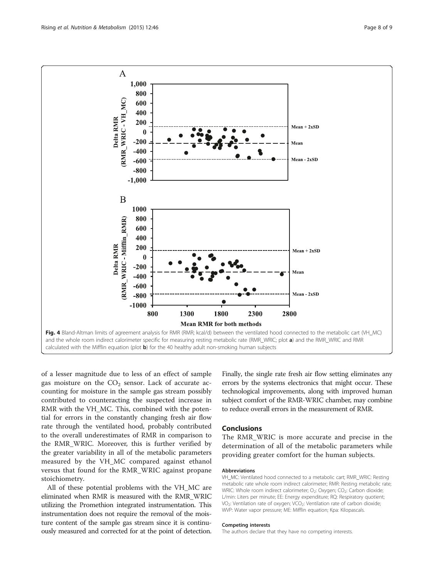<span id="page-7-0"></span>

of a lesser magnitude due to less of an effect of sample gas moisture on the  $CO<sub>2</sub>$  sensor. Lack of accurate accounting for moisture in the sample gas stream possibly contributed to counteracting the suspected increase in RMR with the VH\_MC. This, combined with the potential for errors in the constantly changing fresh air flow rate through the ventilated hood, probably contributed to the overall underestimates of RMR in comparison to the RMR\_WRIC. Moreover, this is further verified by the greater variability in all of the metabolic parameters measured by the VH\_MC compared against ethanol versus that found for the RMR\_WRIC against propane stoichiometry.

All of these potential problems with the VH\_MC are eliminated when RMR is measured with the RMR\_WRIC utilizing the Promethion integrated instrumentation. This instrumentation does not require the removal of the moisture content of the sample gas stream since it is continuously measured and corrected for at the point of detection. Finally, the single rate fresh air flow setting eliminates any errors by the systems electronics that might occur. These technological improvements, along with improved human subject comfort of the RMR-WRIC chamber, may combine to reduce overall errors in the measurement of RMR.

## Conclusions

The RMR\_WRIC is more accurate and precise in the determination of all of the metabolic parameters while providing greater comfort for the human subjects.

#### Abbreviations

VH\_MC: Ventilated hood connected to a metabolic cart; RMR\_WRIC: Resting metabolic rate whole room indirect calorimeter; RMR: Resting metabolic rate; WRIC: Whole room indirect calorimeter; O<sub>2</sub>: Oxygen; CO<sub>2</sub>: Carbon dioxide; L/min: Liters per minute; EE: Energy expenditure; RQ: Respiratory quotient; VO<sub>2</sub>: Ventilation rate of oxygen; VCO<sub>2</sub>: Ventilation rate of carbon dioxide; WVP: Water vapor pressure; ME: Mifflin equation; Kpa: Kilopascals.

#### Competing interests

The authors declare that they have no competing interests.